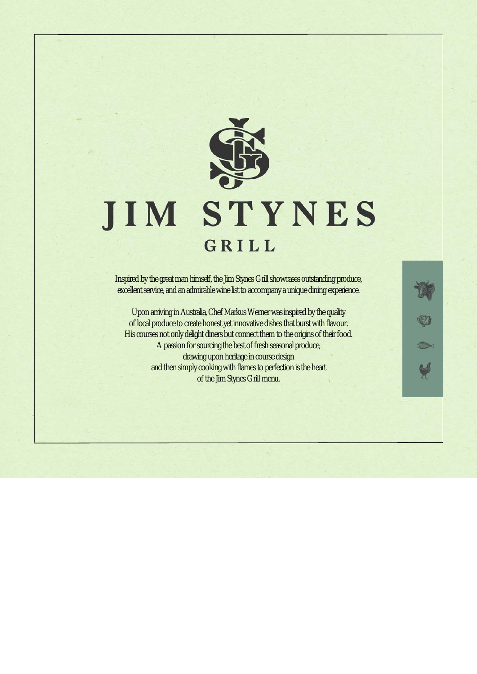

# **JIM STYNES** GRILL

Inspired by the great man himself, the Jim Stynes Grill showcases outstanding produce, excellent service, and an admirable wine list to accompany a unique dining experience.

Upon arriving in Australia, Chef Markus Werner was inspired by the quality of local produce to create honest yet innovative dishes that burst with flavour. His courses not only delight diners but connect them to the origins of their food. A passion for sourcing the best of fresh seasonal produce, drawing upon heritage in course design and then simply cooking with flames to perfection is the heart of the Jim Stynes Grill menu.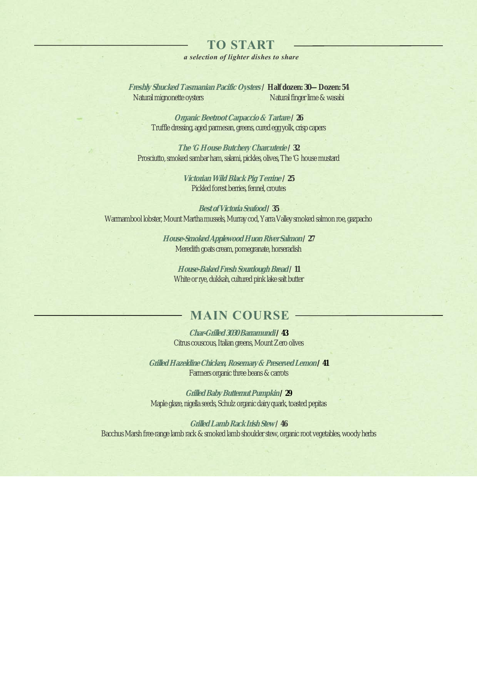## **TO START**

### *a selection of lighter dishes to share*

**Freshly Shucked Tasmanian Pacific Oysters / Half dozen: 30—Dozen: 54** Natural mignonette oysters Natural finger lime & wasabi

> **Organic Beetroot Carpaccio & Tartare / 26** Truffle dressing, aged parmesan, greens, cured egg yolk, crisp capers

**The 'G House Butchery Charcuterie / 32** Prosciutto, smoked sambar ham, salami, pickles, olives, The 'G house mustard

> **Victorian Wild Black Pig Terrine / 25** Pickled forest berries, fennel, croutes

**Best of Victoria Seafood/ 35** Warrnambool lobster, Mount Martha mussels, Murray cod, Yarra Valley smoked salmon roe, gazpacho

> **House-Smoked Applewood Huon River Salmon/ 27** Meredith goats cream, pomegranate, horseradish

**House-Baked Fresh Sourdough Bread/ 11** White or rye, dukkah, cultured pink lake salt butter

# **MAIN COURSE**

**Char-Grilled 3030 Barramundi/ 43** Citrus couscous, Italian greens, Mount Zero olives

**Grilled Hazeldine Chicken, Rosemary & Preserved Lemon/ 41** Farmers organic three beans & carrots

**Grilled Baby Butternut Pumpkin/ 29** Maple glaze, nigella seeds, Schulz organic dairy quark, toasted pepitas

**Grilled Lamb Rack Irish Stew/ 46** Bacchus Marsh free-range lamb rack & smoked lamb shoulder stew, organic root vegetables, woody herbs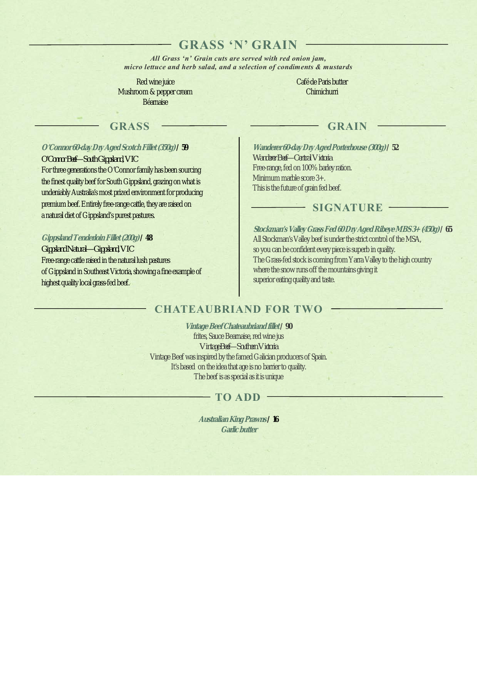# **GRASS 'N' GRAIN**

*All Grass 'n' Grain cuts are served with red onion jam, micro lettuce and herb salad, and a selection of condiments & mustards*

Red wine juice Mushroom & pepper cream Béarnaise

Café de Paris butter **Chimichurri** 

# GRASS GRAIN

### **O'Connor 60-day Dry Aged Scotch Fillet (350g)/ 59**

*O'Connor Beef—South Gippsland, VIC* For three generations the O'Connor family has been sourcing the finest quality beef for South Gippsland, grazing on what is undeniably Australia's most prized environment for producing premium beef. Entirely free-range cattle, they are raised on a natural diet of Gippsland's purest pastures.

### **Gippsland Tenderloin Fillet (200g)/ 48**

*Gippsland Natural—Gippsland, VIC* Free-range cattle raised in the natural lush pastures of Gippsland in Southeast Victoria, showing a fine example of highest quality local grass-fed beef.

### **Wanderer 60-day Dry Aged Porterhouse (300g)/ 52**

*Wanderer Beef—Central Victoria* Free-range, fed on 100% barley ration. Minimum marble score 3+. This is the future of grain fed beef.

### **SIGNATURE**

**Stockman's Valley Grass Fed 60 Dry Aged Ribeye MBS 3+ (450g)/ 65** All Stockman's Valley beef is under the strict control of the MSA, so you can be confident every piece is superb in quality. The Grass-fed stock is coming from Yarra Valley to the high country where the snow runs off the mountains giving it superior eating quality and taste.

# **CHATEAUBRIAND FOR TWO**

**Vintage Beef Chateaubriand fillet/ 90** frites, Sauce Bearnaise, red wine jus *Vintage Beef—Southern Victoria* Vintage Beef was inspired by the famed Galician producers of Spain. It's based on the idea that age is no barrier to quality. The beef is as special as it is unique

### **TO ADD**

**Australian King Prawns/ 16 Garlic butter**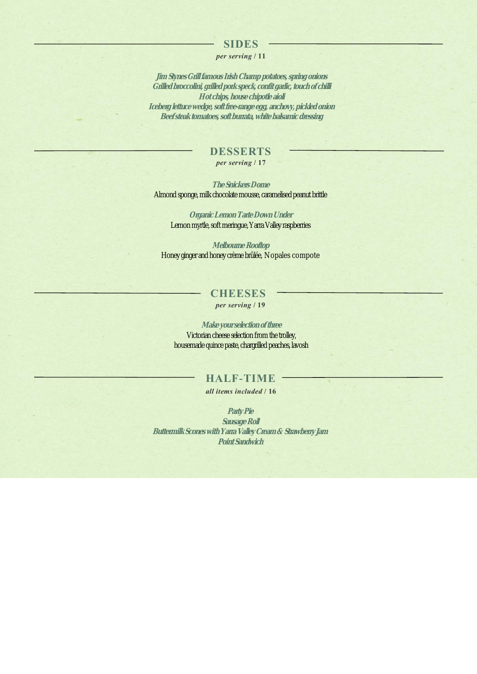### **SIDES**

### *per serving* **/ 11**

**Jim Stynes Grill famous Irish Champ potatoes, spring onions Grilled broccolini, grilled pork speck, confit garlic, touch of chilli Hot chips, house chipotle aioli Iceberg lettuce wedge, soft free-range egg, anchovy, pickled onion Beef steak tomatoes, soft burrata, white balsamic dressing**

### **DESSERTS**

*per serving* **/ 17**

**The Snickers Dome** Almond sponge, milk chocolate mousse, caramelised peanut brittle

**Organic Lemon Tarte Down Under** Lemon myrtle, soft meringue, Yarra Valley raspberries

**Melbourne Rooftop** Honey ginger and honey crème brûlée, Nopales compote

### **CHEESES** *per serving* **/ 19**

**Make your selection of three** Victorian cheese selection from the trolley, housemade quince paste, chargrilled peaches, lavosh

## **HALF-TIME**

### *all items included* **/ 16**

**Party Pie Sausage Roll Buttermilk Scones with Yarra Valley Cream & Strawberry Jam Point Sandwich**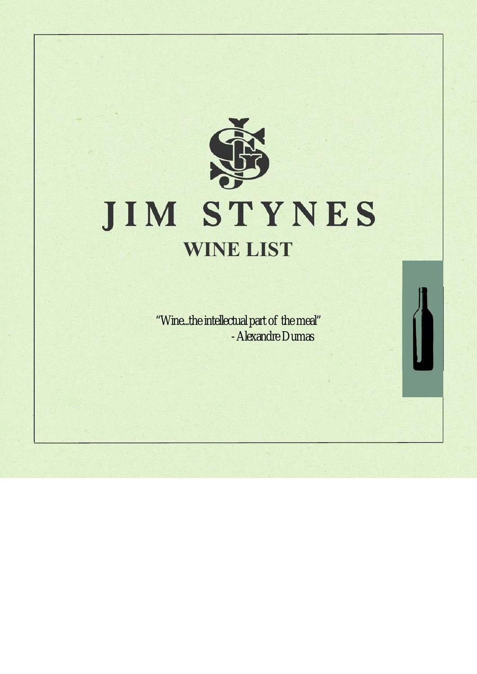

# JIM STYNES **WINE LIST**

"Wine...the intellectual part of the meal" - Alexandre Dumas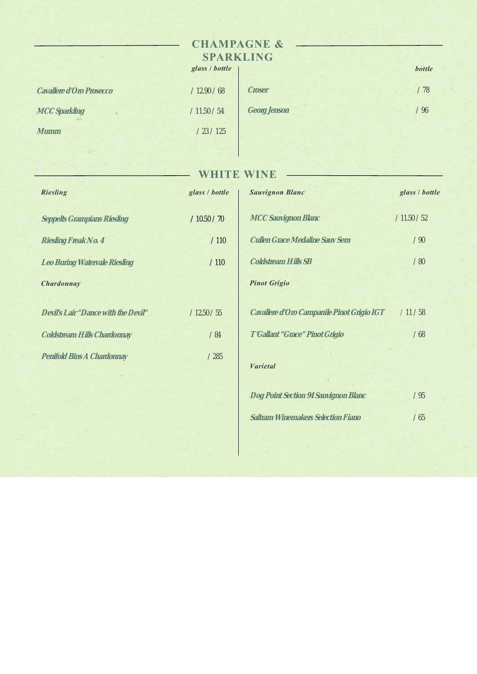# **CHAMPAGNE & SPARKLING**

|                          | glass / bottle |              | bottle |
|--------------------------|----------------|--------------|--------|
| Cavallere d'Oro Prosecco | /12.90 / 68    | Croser       | / 78   |
| MCC Sparkling            | /11.50 / 54    | Georg Jenson | /96    |
| Mumm                     | /23/125        |              |        |

# **WHITE WINE**

 $\overline{\phantom{a}}$ 

| <b>Riesling</b>                     | glass / bottle |
|-------------------------------------|----------------|
| <b>Seppelts Grampians Riesling</b>  | /10.50 / 70    |
| Riesling Freak No. 4                | /110           |
| Leo Buring Watervale Riesling       | /110           |
| Chardonnay                          |                |
|                                     |                |
| Devil's Lair "Dance with the Devil" | /12.50 / 55    |
| Coldstream Hills Chardonnay         | /84            |
| Penifold Bins A Chardonnay          | /285           |
|                                     |                |

| <b>Sauvignon Blanc</b>                     | glass / bottle |
|--------------------------------------------|----------------|
| MCC Sauvignon Blanc                        | /11.50 / 52    |
| Cullen Grace Medaline Sauv Sem             | /90            |
| Coldstream Hills SB                        | /80            |
| <b>Pinot Grigio</b>                        |                |
| Cavallere d'Oro Campanile Pinot Grigio IGT | /11/58         |
| T'Gallant "Grace" Pinot Grigio             | /68            |
| <b>Varietal</b>                            |                |
| Dog Point Section 94 Sauvignon Blanc       | /95            |
| Saltram Winemakers Selection Fiano         | /65            |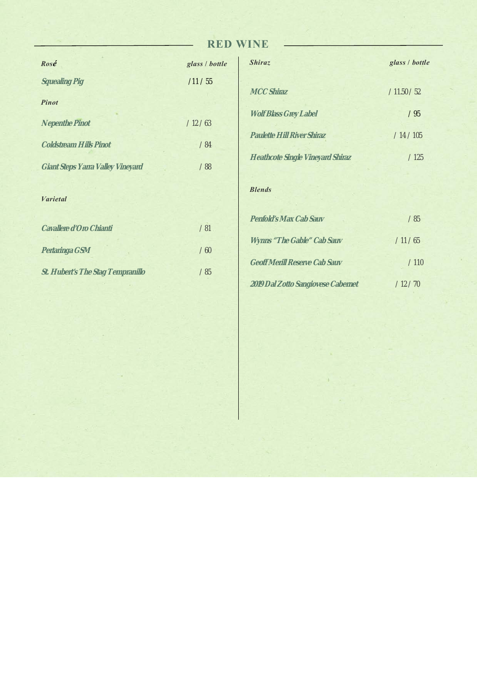# **RED WINE**

| Rosé                              | glass / bottle |
|-----------------------------------|----------------|
| Squealing Pig                     | /11 / 55       |
| <b>Pinot</b>                      |                |
| Nepenthe Pinot                    | /12/63         |
| Coldstream Hills Pinot            | /84            |
| Giant Steps Yarra Valley Vineyard | /88            |
| <b>Varietal</b>                   |                |
| Cavallere d'Oro Chianti           | /81            |
| Pertaringa GSM                    | /60            |
| St. Hubert's The Stag Tempranillo | /85            |

| <b>Shiraz</b>                           | glass / bottle |
|-----------------------------------------|----------------|
| <b>MCC Shiraz</b>                       | /11.50 / 52    |
| <b>Wolf Blass Grey Label</b>            | /95            |
| <b>Paulette Hill River Shiraz</b>       | /14/105        |
| <b>Heathcote Single Vineyard Shiraz</b> | /125           |
| <b>Blends</b>                           |                |
| Penfold's Max Cab Sauv                  | /85            |
| Wynns "The Gable" Cab Sauv              | /11/65         |
| Geoff Merill Reserve Cab Sauv           | /110           |
| 2019 Dal Zotto Sangiovese Cabernet      | /12/70         |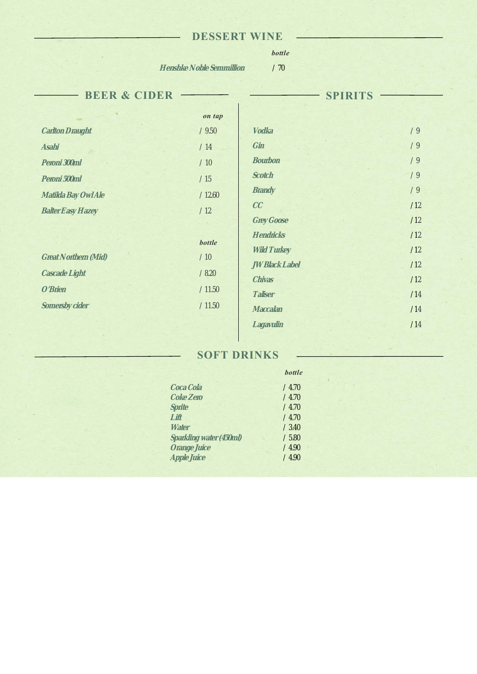# **DESSERT WINE**

# *bottle*

**Henshke Noble Semmillion** / 70

 $\sim$ 

| 71 |  |
|----|--|

| <b>BEER &amp; CIDER</b>  |               | <b>SPIRITS</b>     |     |  |
|--------------------------|---------------|--------------------|-----|--|
|                          | on tap        |                    |     |  |
| Carlton Draught          | /9.50         | Vodka              | /9  |  |
| Asahi                    | /14           | Gin                | /9  |  |
| Peroni 300ml             | /10           | Bourbon            | /9  |  |
| Peroni 500ml             | /15           | Scotch             | /9  |  |
| Matilda Bay Owl Ale      | /12.60        | <b>Brandy</b>      | /9  |  |
| <b>Balter Easy Hazey</b> | /12           | CC                 | /12 |  |
|                          |               | Grey Goose         | /12 |  |
|                          | <b>bottle</b> | Hendricks          | /12 |  |
| Great Northern (Mid)     | /10           | <b>Wild Turkey</b> | /12 |  |
| Cascade Light            | /8.20         | JW Black Label     | /12 |  |
| O'Brien                  | /11.50        | Chivas             | /12 |  |
|                          |               | Taliser            | /14 |  |
| Somersby cider           | /11.50        | Maccalan           | /14 |  |
|                          |               | Lagavulin          | /14 |  |

# **SOFT DRINKS**

|                         | <b>bottle</b> |  |
|-------------------------|---------------|--|
| Coca Cola               | /4.70         |  |
| Coke Zero               | /4.70         |  |
| Sprite                  | /4.70         |  |
| Lift                    | /4.70         |  |
| Water                   | /3.40         |  |
| Sparkling water (450ml) | /5.80         |  |
| Orange Juice            | /4.90         |  |
| Apple Juice             | /4.90         |  |
|                         |               |  |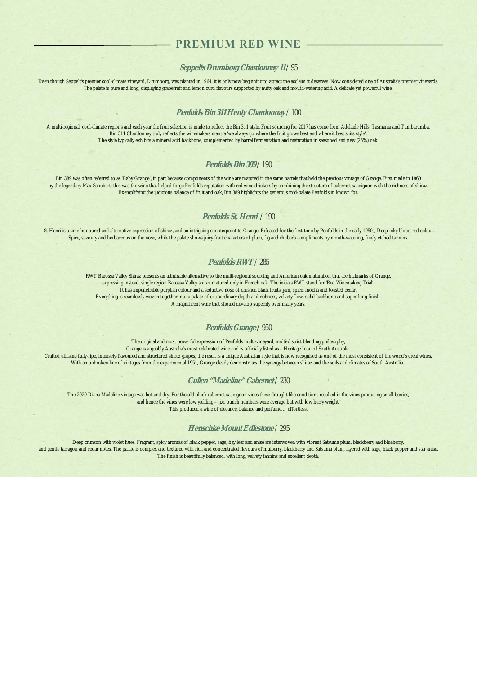### **PREMIUM RED WINE**

### **Seppelts Drumborg Chardonnay 11** / 95

Even though Seppelt's premier cool-climate vineyard, Drumborg, was planted in 1964, it is only now beginning to attract the acclaim it deserves. Now considered one of Australia's premier vineyards. The palate is pure and long, displaying grapefruit and lemon curd flavours supported by nutty oak and mouth-watering acid. A delicate yet powerful wine.

### **Penfolds Bin 311 Henty Chardonnay** / 100

A multi-regional, cool-climate regions and each year the fruit selection is made to reflect the Bin 311 style. Fruit sourcing for 2017 has come from Adelaide Hills, Tasmania and Tumbarumba. Bin 311 Chardonnay truly reflects the winemakers mantra 'we always go where the fruit grows best and where it best suits style'. The style typically exhibits a mineral acid backbone, complemented by barrel fermentation and maturation in seasoned and new (25%) oak.

### **Penfolds Bin 389** / 190

Bin 389 was often referred to as 'Baby Grange', in part because components of the wine are matured in the same barrels that held the previous vintage of Grange. First made in 1960 by the legendary Max Schubert, this was the wine that helped forge Penfolds reputation with red wine drinkers by combining the structure of cabernet sauvignon with the richness of shiraz. Exemplifying the judicious balance of fruit and oak, Bin 389 highlights the generous mid-palate Penfolds in known for.

### **Penfolds St. Henri** / 190

St Henri is a time-honoured and alternative expression of shiraz, and an intriguing counterpoint to Grange. Released for the first time by Penfolds in the early 1950s, Deep inky blood-red colour. Spice, savoury and herbaceous on the nose, while the palate shows juicy fruit characters of plum, fig and rhubarb compliments by mouth-watering, finely etched tannins.

### **Penfolds RWT**/ 285

RWT Barossa Valley Shiraz presents an admirable alternative to the multi-regional sourcing and American oak maturation that are hallmarks of Grange, expressing instead, single region Barossa Valley shiraz matured only in French oak. The initials RWT stand for 'Red Winemaking Trial'. It has impenetrable purplish colour and a seductive nose of crushed black fruits, jam, spice, mocha and toasted cedar Everything is seamlessly woven together into a palate of extraordinary depth and richness, velvety flow, solid backbone and super-long finish. A magnificent wine that should develop superbly over many years.

#### **Penfolds Grange**/ 950

The original and most powerful expression of Penfolds multi-vineyard, multi-district blending philosophy, Grange is arguably Australia's most celebrated wine and is officially listed as a Heritage Icon of South Australia. Crafted utilising fully-ripe, intensely-flavoured and structured shiraz grapes, the result is a unique Australian style that is now recognised as one of the most consistent of the world's great wines. With an unbroken line of vintages from the experimental 1951, Grange clearly demonstrates the synergy between shiraz and the soils and climates of South Australia.

### **Cullen "Madeline" Cabernet** / 230

The 2020 Diana Madeline vintage was hot and dry. For the old block cabernet sauvignon vines these drought like conditions resulted in the vines producing small berries, and hence the vines were low yielding – .i.e. bunch numbers were average but with low berry weight. This produced a wine of elegance, balance and perfume… effortless.

### **Henschke Mount Edlestone**/ 295

Deep crimson with violet hues. Fragrant, spicy aromas of black pepper, sage, bay leaf and anise are interwoven with vibrant Satsuma plum, blackberry and blueberry, and gentle tarragon and cedar notes. The palate is complex and textured with rich and concentrated flavours of mulberry, blackberry and Satsuma plum, layered with sage, black pepper and star anise. The finish is beautifully balanced, with long, velvety tannins and excellent depth.